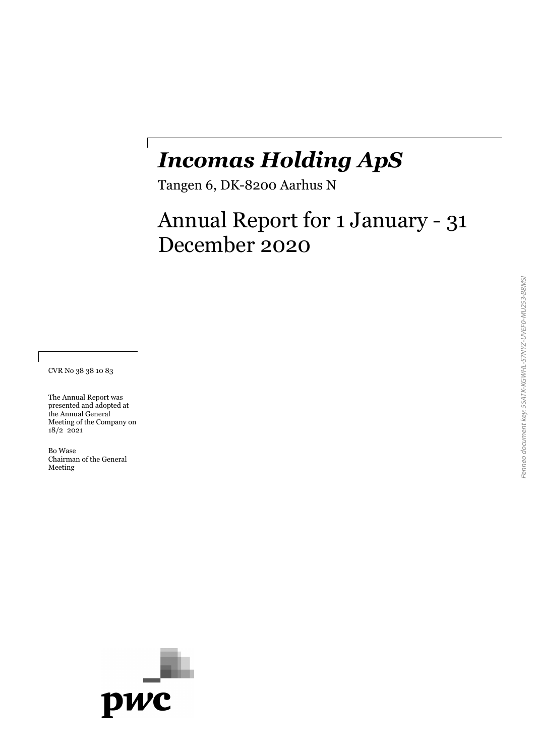# *Incomas Holding ApS*

Tangen 6, DK-8200 Aarhus N

 $\overline{\phantom{a}}$ 

# Annual Report for 1 January - 31 December 2020

CVR No 38 38 10 83

The Annual Report was presented and adopted at the Annual General Meeting of the Company on 18/2 2021

Bo Wase Chairman of the General Meeting

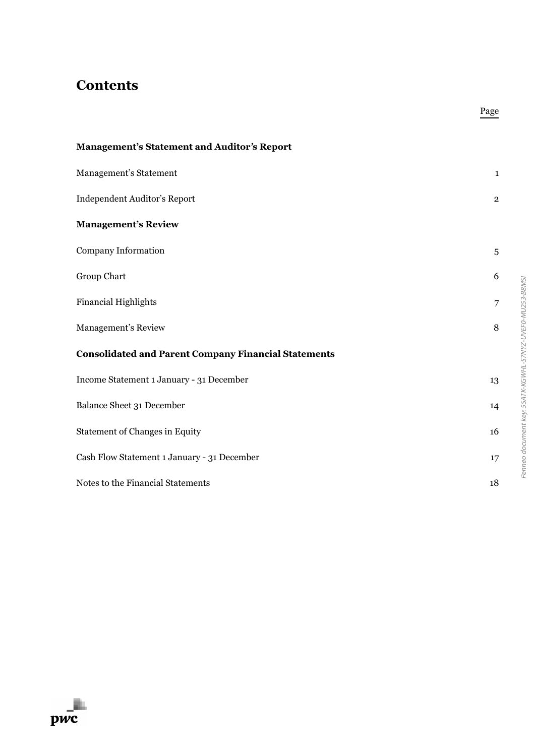### **Contents**

| <b>Management's Statement and Auditor's Report</b>          |                |
|-------------------------------------------------------------|----------------|
| Management's Statement                                      | $\mathbf{1}$   |
| <b>Independent Auditor's Report</b>                         | $\overline{2}$ |
| <b>Management's Review</b>                                  |                |
| Company Information                                         | 5              |
| Group Chart                                                 | 6              |
| Financial Highlights                                        | 7              |
| Management's Review                                         | 8              |
| <b>Consolidated and Parent Company Financial Statements</b> |                |
| Income Statement 1 January - 31 December                    | 13             |
| <b>Balance Sheet 31 December</b>                            | 14             |
| <b>Statement of Changes in Equity</b>                       | 16             |
| Cash Flow Statement 1 January - 31 December                 | 17             |
| Notes to the Financial Statements                           | 18             |



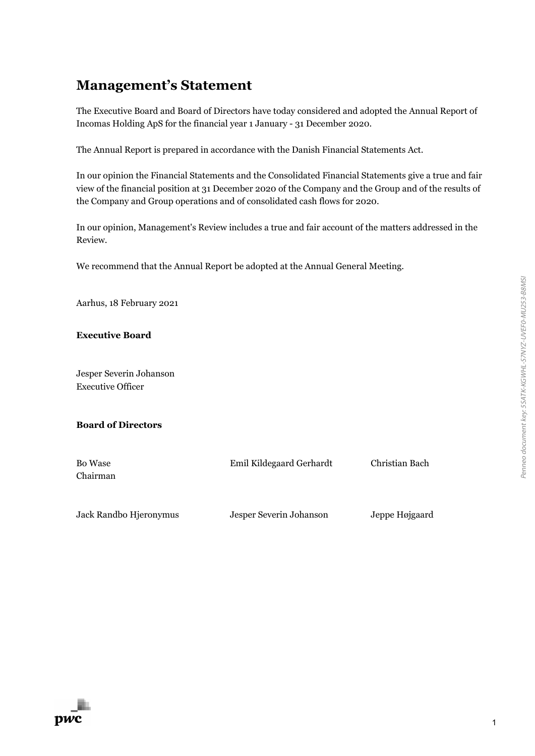### **Management's Statement**

The Executive Board and Board of Directors have today considered and adopted the Annual Report of Incomas Holding ApS for the financial year 1 January - 31 December 2020.

The Annual Report is prepared in accordance with the Danish Financial Statements Act.

In our opinion the Financial Statements and the Consolidated Financial Statements give a true and fair view of the financial position at 31 December 2020 of the Company and the Group and of the results of the Company and Group operations and of consolidated cash flows for 2020.

In our opinion, Management's Review includes a true and fair account of the matters addressed in the Review.

We recommend that the Annual Report be adopted at the Annual General Meeting.

Aarhus, 18 February 2021

**Executive Board** 

Jesper Severin Johanson Executive Officer

#### **Board of Directors**

| <b>Bo</b> Wase<br>Chairman | Emil Kildegaard Gerhardt | Christian Bach |  |
|----------------------------|--------------------------|----------------|--|
| Jack Randbo Hjeronymus     | Jesper Severin Johanson  | Jeppe Højgaard |  |

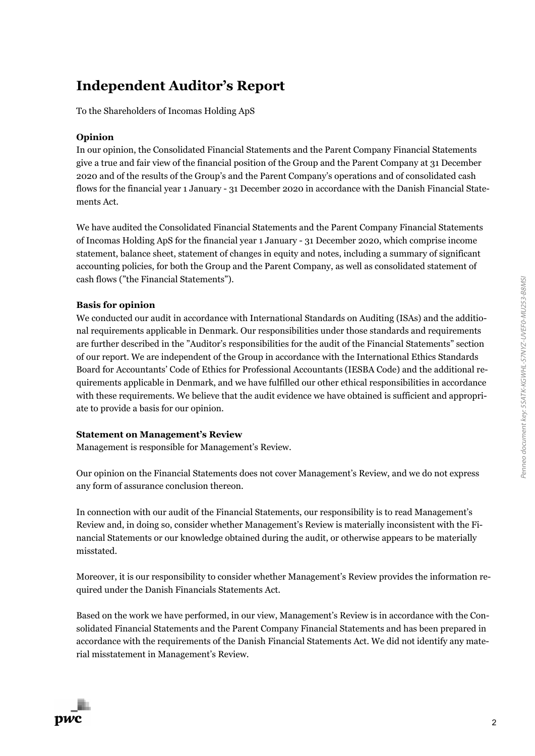### **Independent Auditor's Report**

To the Shareholders of Incomas Holding ApS

#### **Opinion**

In our opinion, the Consolidated Financial Statements and the Parent Company Financial Statements give a true and fair view of the financial position of the Group and the Parent Company at 31 December 2020 and of the results of the Group's and the Parent Company's operations and of consolidated cash flows for the financial year 1 January - 31 December 2020 in accordance with the Danish Financial Statements Act.

We have audited the Consolidated Financial Statements and the Parent Company Financial Statements of Incomas Holding ApS for the financial year 1 January - 31 December 2020, which comprise income statement, balance sheet, statement of changes in equity and notes, including a summary of significant accounting policies, for both the Group and the Parent Company, as well as consolidated statement of cash flows ("the Financial Statements").

#### **Basis for opinion**

We conducted our audit in accordance with International Standards on Auditing (ISAs) and the additional requirements applicable in Denmark. Our responsibilities under those standards and requirements are further described in the "Auditor's responsibilities for the audit of the Financial Statements" section of our report. We are independent of the Group in accordance with the International Ethics Standards Board for Accountants' Code of Ethics for Professional Accountants (IESBA Code) and the additional requirements applicable in Denmark, and we have fulfilled our other ethical responsibilities in accordance with these requirements. We believe that the audit evidence we have obtained is sufficient and appropriate to provide a basis for our opinion.

#### **Statement on Management's Review**

Management is responsible for Management's Review.

Our opinion on the Financial Statements does not cover Management's Review, and we do not express any form of assurance conclusion thereon.

In connection with our audit of the Financial Statements, our responsibility is to read Management's Review and, in doing so, consider whether Management's Review is materially inconsistent with the Financial Statements or our knowledge obtained during the audit, or otherwise appears to be materially misstated.

Moreover, it is our responsibility to consider whether Management's Review provides the information required under the Danish Financials Statements Act.

Based on the work we have performed, in our view, Management's Review is in accordance with the Consolidated Financial Statements and the Parent Company Financial Statements and has been prepared in accordance with the requirements of the Danish Financial Statements Act. We did not identify any material misstatement in Management's Review.

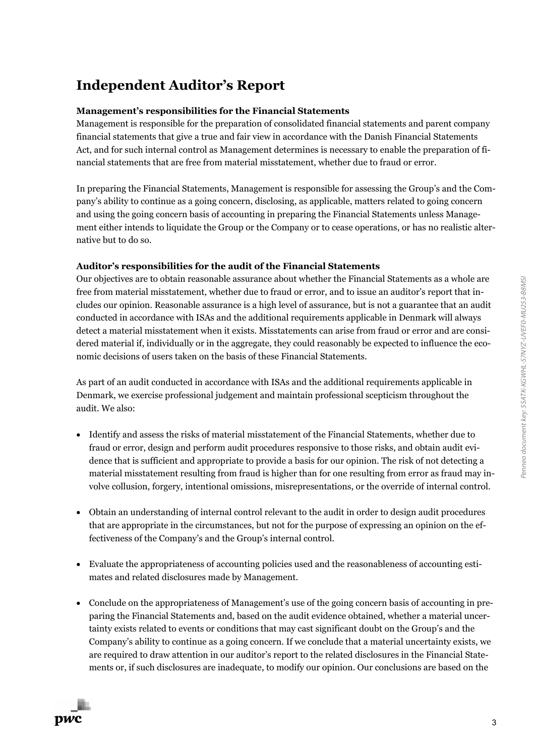### **Management's responsibilities for the Financial Statements**

Management is responsible for the preparation of consolidated financial statements and parent company financial statements that give a true and fair view in accordance with the Danish Financial Statements Act, and for such internal control as Management determines is necessary to enable the preparation of financial statements that are free from material misstatement, whether due to fraud or error.

In preparing the Financial Statements, Management is responsible for assessing the Group's and the Company's ability to continue as a going concern, disclosing, as applicable, matters related to going concern and using the going concern basis of accounting in preparing the Financial Statements unless Management either intends to liquidate the Group or the Company or to cease operations, or has no realistic alternative but to do so.

### **Auditor's responsibilities for the audit of the Financial Statements**

Our objectives are to obtain reasonable assurance about whether the Financial Statements as a whole are free from material misstatement, whether due to fraud or error, and to issue an auditor's report that includes our opinion. Reasonable assurance is a high level of assurance, but is not a guarantee that an audit conducted in accordance with ISAs and the additional requirements applicable in Denmark will always detect a material misstatement when it exists. Misstatements can arise from fraud or error and are considered material if, individually or in the aggregate, they could reasonably be expected to influence the economic decisions of users taken on the basis of these Financial Statements.

As part of an audit conducted in accordance with ISAs and the additional requirements applicable in Denmark, we exercise professional judgement and maintain professional scepticism throughout the audit. We also:

- Identify and assess the risks of material misstatement of the Financial Statements, whether due to fraud or error, design and perform audit procedures responsive to those risks, and obtain audit evidence that is sufficient and appropriate to provide a basis for our opinion. The risk of not detecting a material misstatement resulting from fraud is higher than for one resulting from error as fraud may involve collusion, forgery, intentional omissions, misrepresentations, or the override of internal control.
- Obtain an understanding of internal control relevant to the audit in order to design audit procedures that are appropriate in the circumstances, but not for the purpose of expressing an opinion on the effectiveness of the Company's and the Group's internal control.
- Evaluate the appropriateness of accounting policies used and the reasonableness of accounting estimates and related disclosures made by Management.
- Conclude on the appropriateness of Management's use of the going concern basis of accounting in preparing the Financial Statements and, based on the audit evidence obtained, whether a material uncertainty exists related to events or conditions that may cast significant doubt on the Group's and the Company's ability to continue as a going concern. If we conclude that a material uncertainty exists, we are required to draw attention in our auditor's report to the related disclosures in the Financial Statements or, if such disclosures are inadequate, to modify our opinion. Our conclusions are based on the

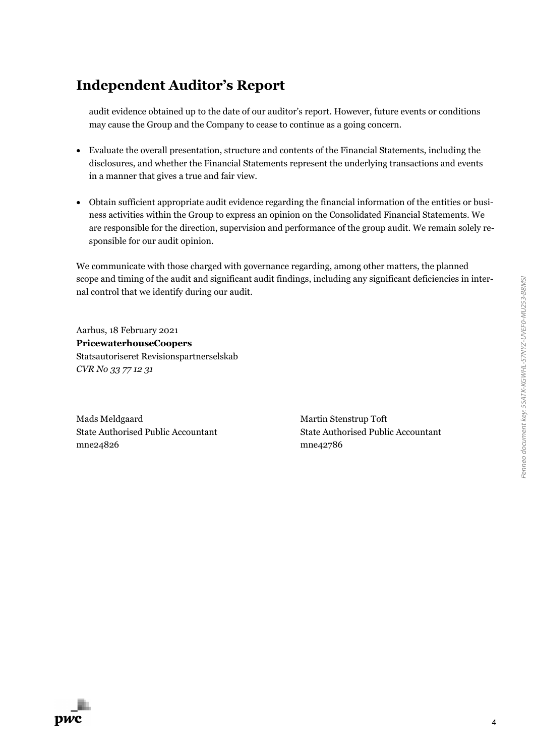### **Independent Auditor's Report**

audit evidence obtained up to the date of our auditor's report. However, future events or conditions may cause the Group and the Company to cease to continue as a going concern.

- Evaluate the overall presentation, structure and contents of the Financial Statements, including the disclosures, and whether the Financial Statements represent the underlying transactions and events in a manner that gives a true and fair view.
- Obtain sufficient appropriate audit evidence regarding the financial information of the entities or business activities within the Group to express an opinion on the Consolidated Financial Statements. We are responsible for the direction, supervision and performance of the group audit. We remain solely responsible for our audit opinion.

We communicate with those charged with governance regarding, among other matters, the planned scope and timing of the audit and significant audit findings, including any significant deficiencies in internal control that we identify during our audit.

Aarhus, 18 February 2021 **PricewaterhouseCoopers** Statsautoriseret Revisionspartnerselskab *CVR No 33 77 12 31*

Mads Meldgaard State Authorised Public Accountant mne24826

Martin Stenstrup Toft State Authorised Public Accountant mne42786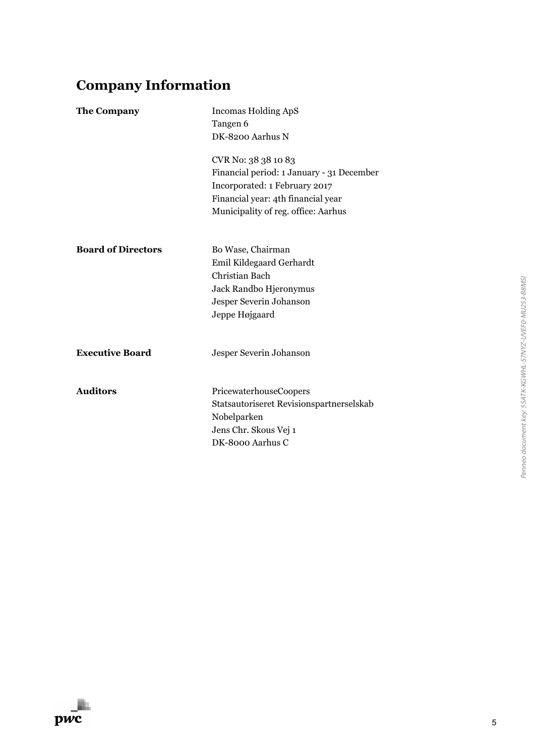## **Company Information**

| <b>The Company</b>        | <b>Incomas Holding ApS</b><br>Tangen 6<br>DK-8200 Aarhus N<br>CVR No: 38 38 10 83<br>Financial period: 1 January - 31 December<br>Incorporated: 1 February 2017<br>Financial year: 4th financial year<br>Municipality of reg. office: Aarhus |
|---------------------------|----------------------------------------------------------------------------------------------------------------------------------------------------------------------------------------------------------------------------------------------|
| <b>Board of Directors</b> | Bo Wase, Chairman<br>Emil Kildegaard Gerhardt<br><b>Christian Bach</b><br>Jack Randbo Hjeronymus<br>Jesper Severin Johanson<br>Jeppe Højgaard                                                                                                |
| <b>Executive Board</b>    | Jesper Severin Johanson                                                                                                                                                                                                                      |
| <b>Auditors</b>           | PricewaterhouseCoopers<br>Statsautoriseret Revisionspartnerselskab<br>Nobelparken<br>Jens Chr. Skous Vej 1<br>DK-8000 Aarhus C                                                                                                               |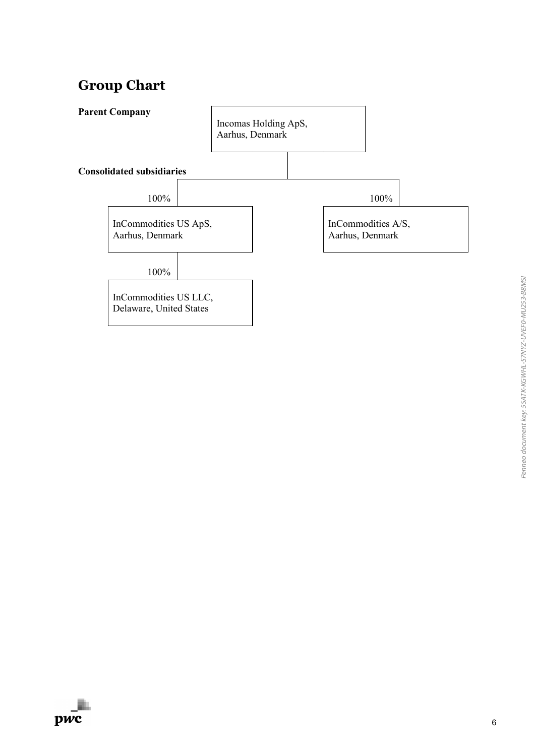### **Group Chart**

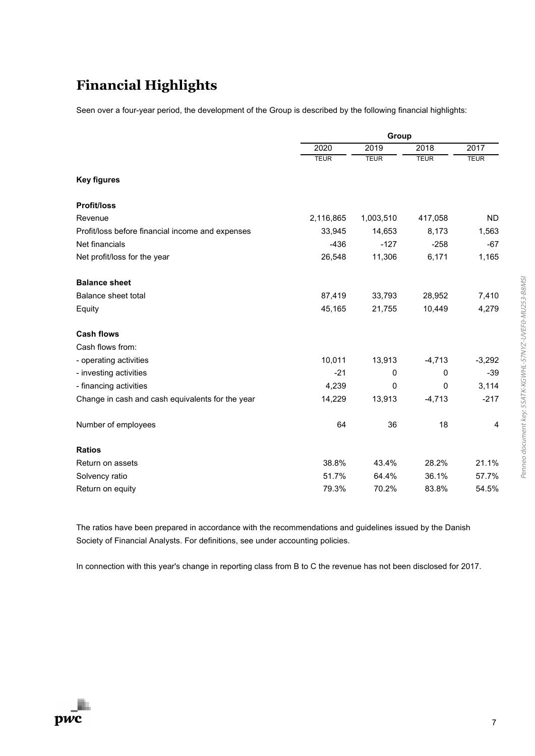### **Financial Highlights**

Seen over a four-year period, the development of the Group is described by the following financial highlights:

|                                                  |             | Group       |             |                |
|--------------------------------------------------|-------------|-------------|-------------|----------------|
|                                                  | 2020        | 2019        | 2018        | 2017           |
|                                                  | <b>TEUR</b> | <b>TEUR</b> | <b>TEUR</b> | <b>TEUR</b>    |
| <b>Key figures</b>                               |             |             |             |                |
| <b>Profit/loss</b>                               |             |             |             |                |
| Revenue                                          | 2,116,865   | 1,003,510   | 417,058     | <b>ND</b>      |
| Profit/loss before financial income and expenses | 33,945      | 14,653      | 8,173       | 1,563          |
| Net financials                                   | $-436$      | $-127$      | $-258$      | $-67$          |
| Net profit/loss for the year                     | 26,548      | 11,306      | 6,171       | 1,165          |
| <b>Balance sheet</b>                             |             |             |             |                |
| Balance sheet total                              | 87,419      | 33,793      | 28,952      | 7,410          |
| Equity                                           | 45,165      | 21,755      | 10,449      | 4,279          |
| <b>Cash flows</b>                                |             |             |             |                |
| Cash flows from:                                 |             |             |             |                |
| - operating activities                           | 10,011      | 13,913      | $-4,713$    | $-3,292$       |
| - investing activities                           | $-21$       | 0           | 0           | $-39$          |
| - financing activities                           | 4,239       | 0           | 0           | 3,114          |
| Change in cash and cash equivalents for the year | 14,229      | 13,913      | $-4,713$    | $-217$         |
| Number of employees                              | 64          | 36          | 18          | $\overline{4}$ |
| <b>Ratios</b>                                    |             |             |             |                |
| Return on assets                                 | 38.8%       | 43.4%       | 28.2%       | 21.1%          |
| Solvency ratio                                   | 51.7%       | 64.4%       | 36.1%       | 57.7%          |
| Return on equity                                 | 79.3%       | 70.2%       | 83.8%       | 54.5%          |

The ratios have been prepared in accordance with the recommendations and guidelines issued by the Danish Society of Financial Analysts. For definitions, see under accounting policies.

In connection with this year's change in reporting class from B to C the revenue has not been disclosed for 2017.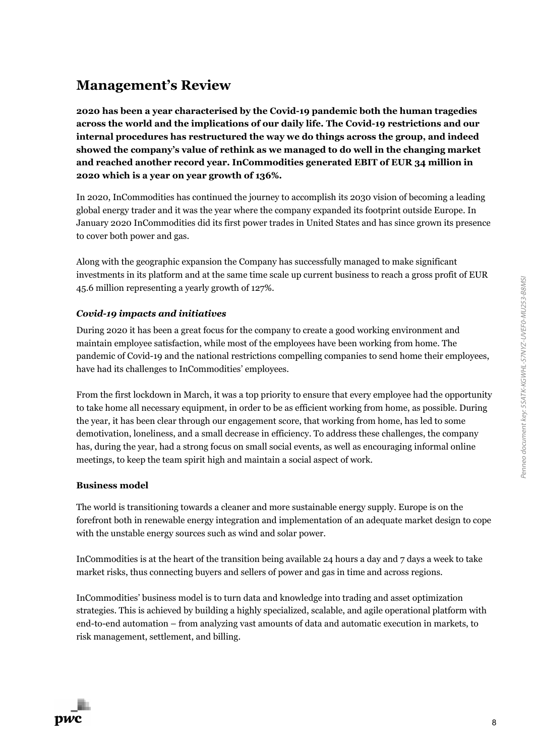**2020 has been a year characterised by the Covid-19 pandemic both the human tragedies across the world and the implications of our daily life. The Covid-19 restrictions and our internal procedures has restructured the way we do things across the group, and indeed showed the company's value of rethink as we managed to do well in the changing market and reached another record year. InCommodities generated EBIT of EUR 34 million in 2020 which is a year on year growth of 136%.**

In 2020, InCommodities has continued the journey to accomplish its 2030 vision of becoming a leading global energy trader and it was the year where the company expanded its footprint outside Europe. In January 2020 InCommodities did its first power trades in United States and has since grown its presence to cover both power and gas.

Along with the geographic expansion the Company has successfully managed to make significant investments in its platform and at the same time scale up current business to reach a gross profit of EUR 45.6 million representing a yearly growth of 127%.

### *Covid-19 impacts and initiatives*

During 2020 it has been a great focus for the company to create a good working environment and maintain employee satisfaction, while most of the employees have been working from home. The pandemic of Covid-19 and the national restrictions compelling companies to send home their employees, have had its challenges to InCommodities' employees.

From the first lockdown in March, it was a top priority to ensure that every employee had the opportunity to take home all necessary equipment, in order to be as efficient working from home, as possible. During the year, it has been clear through our engagement score, that working from home, has led to some demotivation, loneliness, and a small decrease in efficiency. To address these challenges, the company has, during the year, had a strong focus on small social events, as well as encouraging informal online meetings, to keep the team spirit high and maintain a social aspect of work.

### **Business model**

The world is transitioning towards a cleaner and more sustainable energy supply. Europe is on the forefront both in renewable energy integration and implementation of an adequate market design to cope with the unstable energy sources such as wind and solar power.

InCommodities is at the heart of the transition being available 24 hours a day and 7 days a week to take market risks, thus connecting buyers and sellers of power and gas in time and across regions.

InCommodities' business model is to turn data and knowledge into trading and asset optimization strategies. This is achieved by building a highly specialized, scalable, and agile operational platform with end-to-end automation – from analyzing vast amounts of data and automatic execution in markets, to risk management, settlement, and billing.

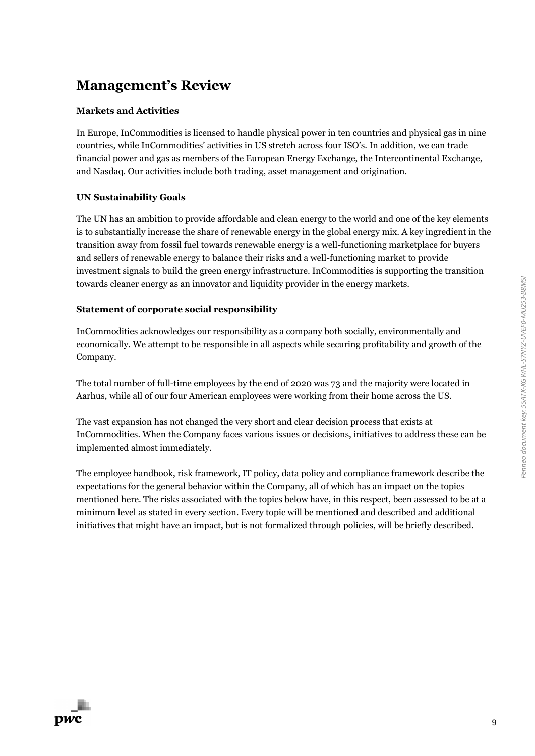### **Markets and Activities**

In Europe, InCommodities is licensed to handle physical power in ten countries and physical gas in nine countries, while InCommodities' activities in US stretch across four ISO's. In addition, we can trade financial power and gas as members of the European Energy Exchange, the Intercontinental Exchange, and Nasdaq. Our activities include both trading, asset management and origination.

### **UN Sustainability Goals**

The UN has an ambition to provide affordable and clean energy to the world and one of the key elements is to substantially increase the share of renewable energy in the global energy mix. A key ingredient in the transition away from fossil fuel towards renewable energy is a well-functioning marketplace for buyers and sellers of renewable energy to balance their risks and a well-functioning market to provide investment signals to build the green energy infrastructure. InCommodities is supporting the transition towards cleaner energy as an innovator and liquidity provider in the energy markets.

### **Statement of corporate social responsibility**

InCommodities acknowledges our responsibility as a company both socially, environmentally and economically. We attempt to be responsible in all aspects while securing profitability and growth of the Company.

The total number of full-time employees by the end of 2020 was 73 and the majority were located in Aarhus, while all of our four American employees were working from their home across the US.

The vast expansion has not changed the very short and clear decision process that exists at InCommodities. When the Company faces various issues or decisions, initiatives to address these can be implemented almost immediately.

The employee handbook, risk framework, IT policy, data policy and compliance framework describe the expectations for the general behavior within the Company, all of which has an impact on the topics mentioned here. The risks associated with the topics below have, in this respect, been assessed to be at a minimum level as stated in every section. Every topic will be mentioned and described and additional initiatives that might have an impact, but is not formalized through policies, will be briefly described.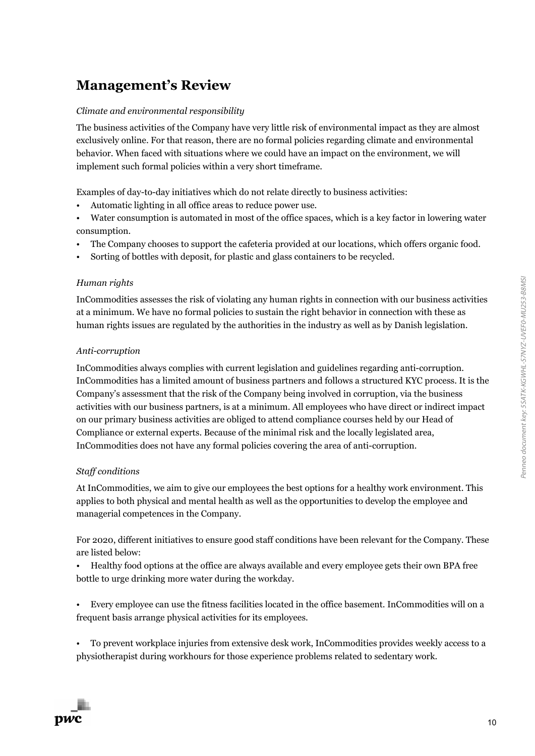### *Climate and environmental responsibility*

The business activities of the Company have very little risk of environmental impact as they are almost exclusively online. For that reason, there are no formal policies regarding climate and environmental behavior. When faced with situations where we could have an impact on the environment, we will implement such formal policies within a very short timeframe.

Examples of day-to-day initiatives which do not relate directly to business activities:

- Automatic lighting in all office areas to reduce power use.
- Water consumption is automated in most of the office spaces, which is a key factor in lowering water consumption.
- The Company chooses to support the cafeteria provided at our locations, which offers organic food.
- Sorting of bottles with deposit, for plastic and glass containers to be recycled.

### *Human rights*

InCommodities assesses the risk of violating any human rights in connection with our business activities at a minimum. We have no formal policies to sustain the right behavior in connection with these as human rights issues are regulated by the authorities in the industry as well as by Danish legislation.

### *Anti-corruption*

InCommodities always complies with current legislation and guidelines regarding anti-corruption. InCommodities has a limited amount of business partners and follows a structured KYC process. It is the Company's assessment that the risk of the Company being involved in corruption, via the business activities with our business partners, is at a minimum. All employees who have direct or indirect impact on our primary business activities are obliged to attend compliance courses held by our Head of Compliance or external experts. Because of the minimal risk and the locally legislated area, InCommodities does not have any formal policies covering the area of anti-corruption.

### *Staff conditions*

At InCommodities, we aim to give our employees the best options for a healthy work environment. This applies to both physical and mental health as well as the opportunities to develop the employee and managerial competences in the Company.

For 2020, different initiatives to ensure good staff conditions have been relevant for the Company. These are listed below:

• Healthy food options at the office are always available and every employee gets their own BPA free bottle to urge drinking more water during the workday.

• Every employee can use the fitness facilities located in the office basement. InCommodities will on a frequent basis arrange physical activities for its employees.

• To prevent workplace injuries from extensive desk work, InCommodities provides weekly access to a physiotherapist during workhours for those experience problems related to sedentary work.

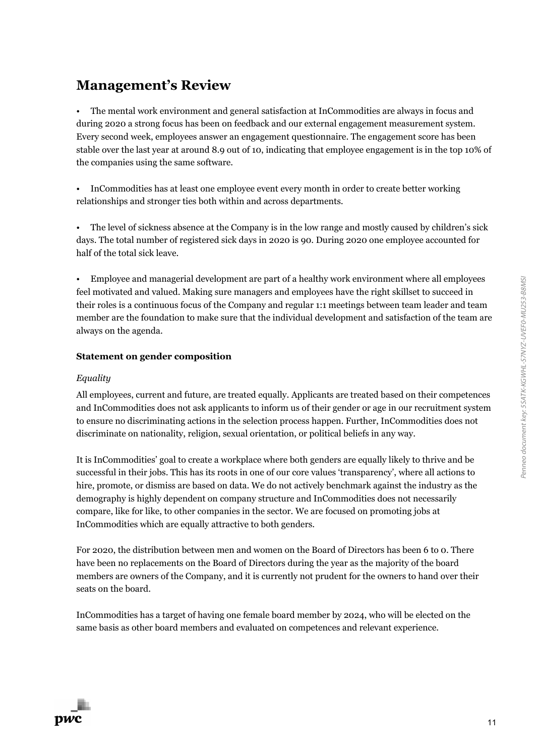• The mental work environment and general satisfaction at InCommodities are always in focus and during 2020 a strong focus has been on feedback and our external engagement measurement system. Every second week, employees answer an engagement questionnaire. The engagement score has been stable over the last year at around 8.9 out of 10, indicating that employee engagement is in the top 10% of the companies using the same software.

• InCommodities has at least one employee event every month in order to create better working relationships and stronger ties both within and across departments.

• The level of sickness absence at the Company is in the low range and mostly caused by children's sick days. The total number of registered sick days in 2020 is 90. During 2020 one employee accounted for half of the total sick leave.

• Employee and managerial development are part of a healthy work environment where all employees feel motivated and valued. Making sure managers and employees have the right skillset to succeed in their roles is a continuous focus of the Company and regular 1:1 meetings between team leader and team member are the foundation to make sure that the individual development and satisfaction of the team are always on the agenda.

### **Statement on gender composition**

### *Equality*

All employees, current and future, are treated equally. Applicants are treated based on their competences and InCommodities does not ask applicants to inform us of their gender or age in our recruitment system to ensure no discriminating actions in the selection process happen. Further, InCommodities does not discriminate on nationality, religion, sexual orientation, or political beliefs in any way.

It is InCommodities' goal to create a workplace where both genders are equally likely to thrive and be successful in their jobs. This has its roots in one of our core values 'transparency', where all actions to hire, promote, or dismiss are based on data. We do not actively benchmark against the industry as the demography is highly dependent on company structure and InCommodities does not necessarily compare, like for like, to other companies in the sector. We are focused on promoting jobs at InCommodities which are equally attractive to both genders.

For 2020, the distribution between men and women on the Board of Directors has been 6 to 0. There have been no replacements on the Board of Directors during the year as the majority of the board members are owners of the Company, and it is currently not prudent for the owners to hand over their seats on the board.

InCommodities has a target of having one female board member by 2024, who will be elected on the same basis as other board members and evaluated on competences and relevant experience.

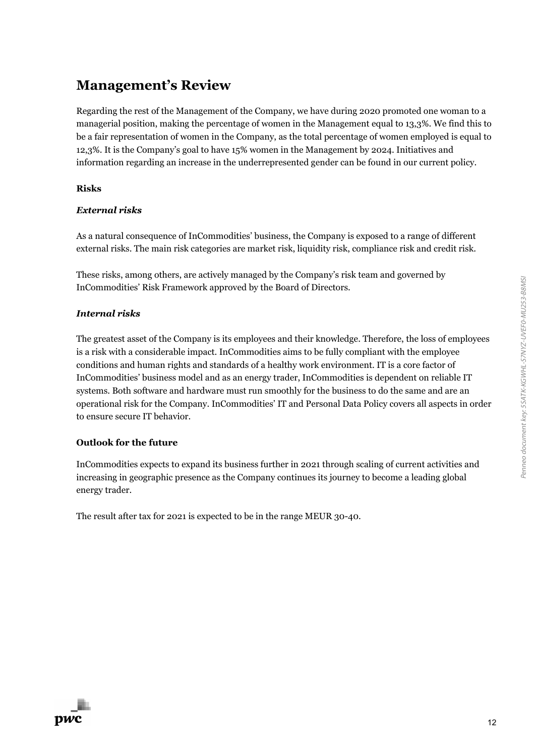Regarding the rest of the Management of the Company, we have during 2020 promoted one woman to a managerial position, making the percentage of women in the Management equal to 13,3%. We find this to be a fair representation of women in the Company, as the total percentage of women employed is equal to 12,3%. It is the Company's goal to have 15% women in the Management by 2024. Initiatives and information regarding an increase in the underrepresented gender can be found in our current policy.

### **Risks**

### *External risks*

As a natural consequence of InCommodities' business, the Company is exposed to a range of different external risks. The main risk categories are market risk, liquidity risk, compliance risk and credit risk.

These risks, among others, are actively managed by the Company's risk team and governed by InCommodities' Risk Framework approved by the Board of Directors.

### *Internal risks*

The greatest asset of the Company is its employees and their knowledge. Therefore, the loss of employees is a risk with a considerable impact. InCommodities aims to be fully compliant with the employee conditions and human rights and standards of a healthy work environment. IT is a core factor of InCommodities' business model and as an energy trader, InCommodities is dependent on reliable IT systems. Both software and hardware must run smoothly for the business to do the same and are an operational risk for the Company. InCommodities' IT and Personal Data Policy covers all aspects in order to ensure secure IT behavior.

### **Outlook for the future**

InCommodities expects to expand its business further in 2021 through scaling of current activities and increasing in geographic presence as the Company continues its journey to become a leading global energy trader.

The result after tax for 2021 is expected to be in the range MEUR 30-40.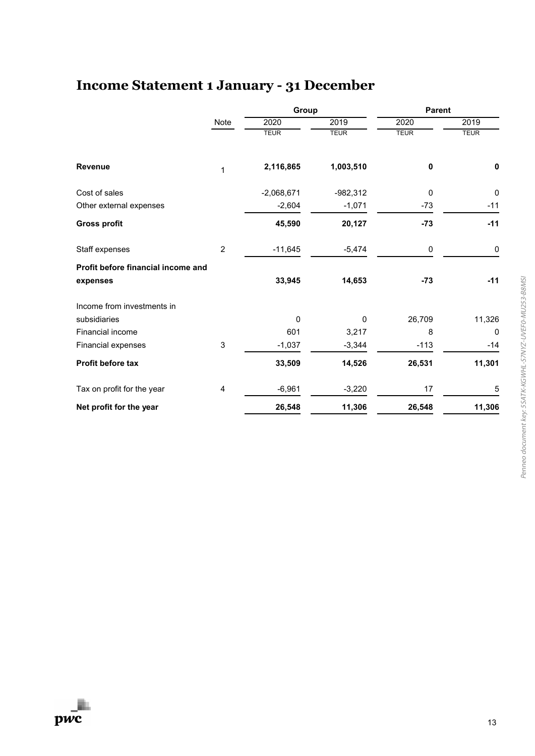### **Income Statement 1 January - 31 December**

|                                    |                | Group        |             | Parent      |             |
|------------------------------------|----------------|--------------|-------------|-------------|-------------|
|                                    | Note           | 2020         | 2019        | 2020        | 2019        |
|                                    |                | <b>TEUR</b>  | <b>TEUR</b> | <b>TEUR</b> | <b>TEUR</b> |
| <b>Revenue</b>                     | 1              | 2,116,865    | 1,003,510   | $\bf{0}$    | $\pmb{0}$   |
| Cost of sales                      |                | $-2,068,671$ | $-982,312$  | $\mathbf 0$ | $\mathbf 0$ |
| Other external expenses            |                | $-2,604$     | $-1,071$    | $-73$       | $-11$       |
| <b>Gross profit</b>                |                | 45,590       | 20,127      | $-73$       | $-11$       |
| Staff expenses                     | $\overline{2}$ | $-11,645$    | $-5,474$    | $\pmb{0}$   | $\pmb{0}$   |
| Profit before financial income and |                |              |             |             |             |
| expenses                           |                | 33,945       | 14,653      | $-73$       | $-11$       |
| Income from investments in         |                |              |             |             |             |
| subsidiaries                       |                | 0            | $\mathbf 0$ | 26,709      | 11,326      |
| Financial income                   |                | 601          | 3,217       | 8           | $\mathbf 0$ |
| <b>Financial expenses</b>          | $\mathsf 3$    | $-1,037$     | $-3,344$    | $-113$      | $-14$       |
| Profit before tax                  |                | 33,509       | 14,526      | 26,531      | 11,301      |
| Tax on profit for the year         | 4              | $-6,961$     | $-3,220$    | 17          | 5           |
| Net profit for the year            |                | 26,548       | 11,306      | 26,548      | 11,306      |

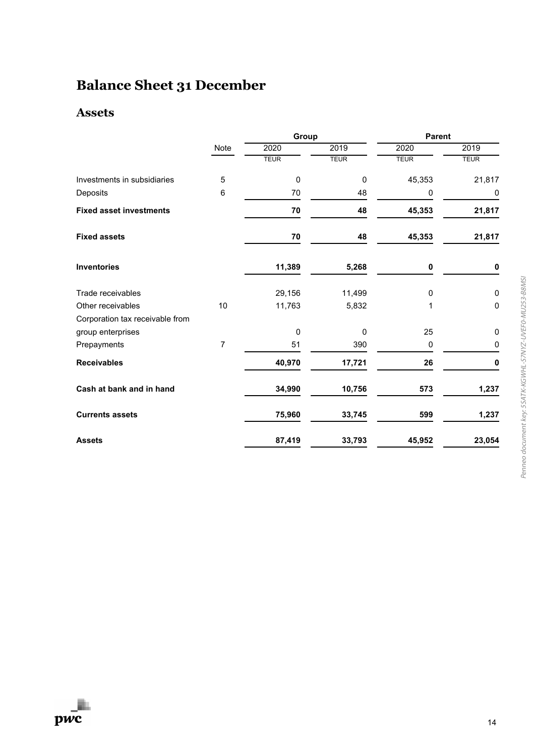## **Balance Sheet 31 December**

### **Assets**

|                                 |      | Group       |             | Parent      |             |  |
|---------------------------------|------|-------------|-------------|-------------|-------------|--|
|                                 | Note | 2020        | 2019        | 2020        | 2019        |  |
|                                 |      | <b>TEUR</b> | <b>TEUR</b> | <b>TEUR</b> | <b>TEUR</b> |  |
| Investments in subsidiaries     | 5    | $\mathbf 0$ | $\mathbf 0$ | 45,353      | 21,817      |  |
| Deposits                        | 6    | 70          | 48          | 0           | 0           |  |
| <b>Fixed asset investments</b>  |      | 70          | 48          | 45,353      | 21,817      |  |
| <b>Fixed assets</b>             |      | 70          | 48          | 45,353      | 21,817      |  |
| <b>Inventories</b>              |      | 11,389      | 5,268       | $\pmb{0}$   | $\pmb{0}$   |  |
| Trade receivables               |      | 29,156      | 11,499      | 0           | $\pmb{0}$   |  |
| Other receivables               | 10   | 11,763      | 5,832       | 1           | $\pmb{0}$   |  |
| Corporation tax receivable from |      |             |             |             |             |  |
| group enterprises               |      | $\mathbf 0$ | $\Omega$    | 25          | $\pmb{0}$   |  |
| Prepayments                     | 7    | 51          | 390         | $\pmb{0}$   | $\pmb{0}$   |  |
| <b>Receivables</b>              |      | 40,970      | 17,721      | 26          | 0           |  |
| Cash at bank and in hand        |      | 34,990      | 10,756      | 573         | 1,237       |  |
| <b>Currents assets</b>          |      | 75,960      | 33,745      | 599         | 1,237       |  |
| <b>Assets</b>                   |      | 87,419      | 33,793      | 45,952      | 23,054      |  |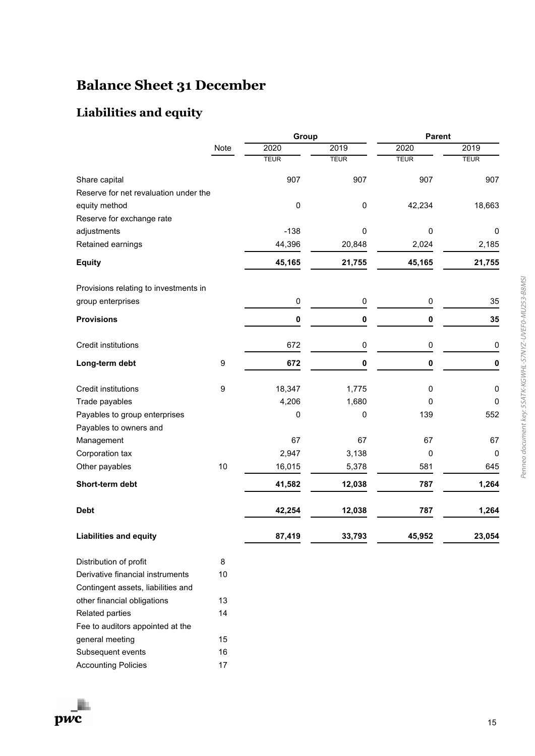### **Balance Sheet 31 December**

### **Liabilities and equity**

|                                       |      | Group       |             | Parent      |             |  |
|---------------------------------------|------|-------------|-------------|-------------|-------------|--|
|                                       | Note | 2020        | 2019        | 2020        | 2019        |  |
|                                       |      | <b>TEUR</b> | <b>TEUR</b> | <b>TEUR</b> | <b>TEUR</b> |  |
| Share capital                         |      | 907         | 907         | 907         | 907         |  |
| Reserve for net revaluation under the |      |             |             |             |             |  |
| equity method                         |      | 0           | 0           | 42,234      | 18,663      |  |
| Reserve for exchange rate             |      |             |             |             |             |  |
| adjustments                           |      | $-138$      | 0           | $\mathbf 0$ | 0           |  |
| Retained earnings                     |      | 44,396      | 20,848      | 2,024       | 2,185       |  |
| <b>Equity</b>                         |      | 45,165      | 21,755      | 45,165      | 21,755      |  |
| Provisions relating to investments in |      |             |             |             |             |  |
| group enterprises                     |      | 0           | 0           | 0           | 35          |  |
| <b>Provisions</b>                     |      | 0           | 0           | 0           | 35          |  |
| <b>Credit institutions</b>            |      | 672         | 0           | $\mathbf 0$ | $\pmb{0}$   |  |
| Long-term debt                        | 9    | 672         | 0           | 0           | $\pmb{0}$   |  |
| <b>Credit institutions</b>            | 9    | 18,347      | 1,775       | 0           | 0           |  |
| Trade payables                        |      | 4,206       | 1,680       | 0           | $\pmb{0}$   |  |
| Payables to group enterprises         |      | 0           | 0           | 139         | 552         |  |
| Payables to owners and                |      |             |             |             |             |  |
| Management                            |      | 67          | 67          | 67          | 67          |  |
| Corporation tax                       |      | 2,947       | 3,138       | 0           | 0           |  |
| Other payables                        | 10   | 16,015      | 5,378       | 581         | 645         |  |
| Short-term debt                       |      | 41,582      | 12,038      | 787         | 1,264       |  |
| <b>Debt</b>                           |      | 42,254      | 12,038      | 787         | 1,264       |  |
| <b>Liabilities and equity</b>         |      | 87,419      | 33,793      | 45,952      | 23,054      |  |
| Distribution of profit                | 8    |             |             |             |             |  |
| Derivative financial instruments      | 10   |             |             |             |             |  |
| Contingent assets, liabilities and    |      |             |             |             |             |  |
| other financial obligations           | 13   |             |             |             |             |  |
| Related parties                       | 14   |             |             |             |             |  |
| Fee to auditors appointed at the      |      |             |             |             |             |  |
| general meeting                       | 15   |             |             |             |             |  |



Subsequent events 16 Accounting Policies 17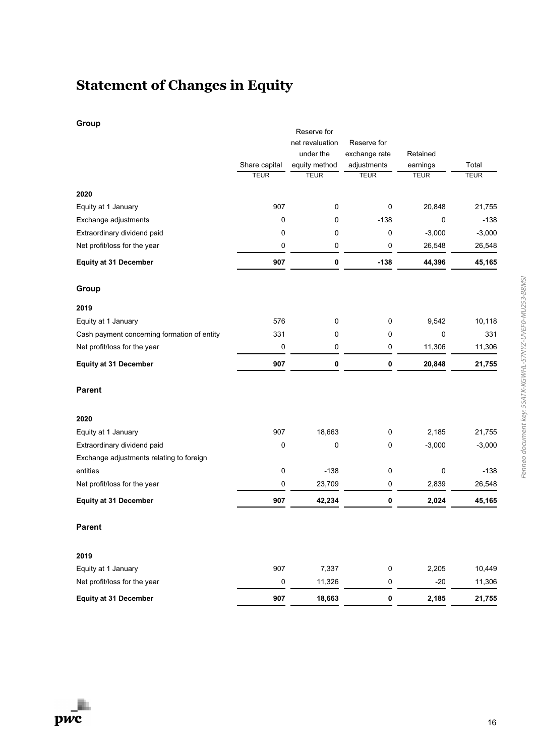## **Statement of Changes in Equity**

**Group**

|                                             |               | Reserve for     |               |             |             |
|---------------------------------------------|---------------|-----------------|---------------|-------------|-------------|
|                                             |               | net revaluation | Reserve for   |             |             |
|                                             |               | under the       | exchange rate | Retained    |             |
|                                             | Share capital | equity method   | adjustments   | earnings    | Total       |
|                                             | <b>TEUR</b>   | <b>TEUR</b>     | <b>TEUR</b>   | <b>TEUR</b> | <b>TEUR</b> |
| 2020                                        |               |                 |               |             |             |
| Equity at 1 January                         | 907           | $\pmb{0}$       | $\mathbf 0$   | 20,848      | 21,755      |
| Exchange adjustments                        | 0             | 0               | $-138$        | 0           | $-138$      |
| Extraordinary dividend paid                 | 0             | 0               | 0             | $-3,000$    | $-3,000$    |
| Net profit/loss for the year                | 0             | $\pmb{0}$       | 0             | 26,548      | 26,548      |
| <b>Equity at 31 December</b>                | 907           | $\pmb{0}$       | $-138$        | 44,396      | 45,165      |
| Group                                       |               |                 |               |             |             |
| 2019                                        |               |                 |               |             |             |
| Equity at 1 January                         | 576           | $\mathbf 0$     | $\pmb{0}$     | 9,542       | 10,118      |
| Cash payment concerning formation of entity | 331           | 0               | 0             | 0           | 331         |
| Net profit/loss for the year                | 0             | $\pmb{0}$       | 0             | 11,306      | 11,306      |
| <b>Equity at 31 December</b>                | 907           | $\pmb{0}$       | $\pmb{0}$     | 20,848      | 21,755      |
| Parent                                      |               |                 |               |             |             |
| 2020                                        |               |                 |               |             |             |
| Equity at 1 January                         | 907           | 18,663          | 0             | 2,185       | 21,755      |
| Extraordinary dividend paid                 | 0             | 0               | 0             | $-3,000$    | $-3,000$    |
| Exchange adjustments relating to foreign    |               |                 |               |             |             |
| entities                                    | 0             | $-138$          | $\pmb{0}$     | $\mathbf 0$ | $-138$      |
| Net profit/loss for the year                | 0             | 23,709          | $\pmb{0}$     | 2,839       | 26,548      |
| <b>Equity at 31 December</b>                | 907           | 42,234          | $\pmb{0}$     | 2,024       | 45,165      |
| Parent                                      |               |                 |               |             |             |
| 2019                                        |               |                 |               |             |             |
| Equity at 1 January                         | 907           | 7,337           | $\pmb{0}$     | 2,205       | 10,449      |
| Net profit/loss for the year                | $\pmb{0}$     | 11,326          | $\pmb{0}$     | $-20$       | 11,306      |
| <b>Equity at 31 December</b>                | 907           | 18,663          | $\pmb{0}$     | 2,185       | 21,755      |

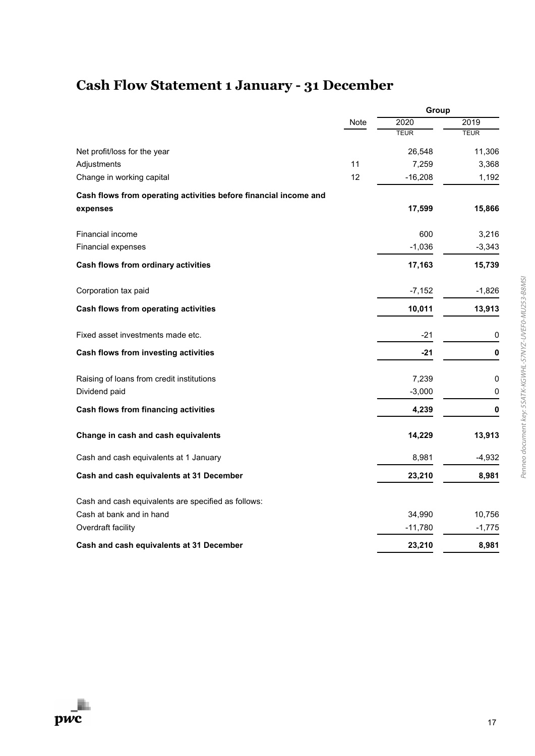### **Cash Flow Statement 1 January - 31 December**

|                                                                  |      | Group       |             |  |
|------------------------------------------------------------------|------|-------------|-------------|--|
|                                                                  | Note | 2020        | 2019        |  |
|                                                                  |      | <b>TEUR</b> | <b>TEUR</b> |  |
| Net profit/loss for the year                                     |      | 26,548      | 11,306      |  |
| Adjustments                                                      | 11   | 7,259       | 3,368       |  |
| Change in working capital                                        | 12   | $-16,208$   | 1,192       |  |
| Cash flows from operating activities before financial income and |      |             |             |  |
| expenses                                                         |      | 17,599      | 15,866      |  |
| Financial income                                                 |      | 600         | 3,216       |  |
| Financial expenses                                               |      | $-1,036$    | $-3,343$    |  |
| Cash flows from ordinary activities                              |      | 17,163      | 15,739      |  |
| Corporation tax paid                                             |      | $-7,152$    | $-1,826$    |  |
| Cash flows from operating activities                             |      | 10,011      | 13,913      |  |
| Fixed asset investments made etc.                                |      | $-21$       | 0           |  |
| Cash flows from investing activities                             |      | -21         | 0           |  |
| Raising of loans from credit institutions                        |      | 7,239       | 0           |  |
| Dividend paid                                                    |      | $-3,000$    | 0           |  |
| <b>Cash flows from financing activities</b>                      |      | 4,239       | 0           |  |
| Change in cash and cash equivalents                              |      | 14,229      | 13,913      |  |
| Cash and cash equivalents at 1 January                           |      | 8,981       | $-4,932$    |  |
| Cash and cash equivalents at 31 December                         |      | 23,210      | 8,981       |  |
| Cash and cash equivalents are specified as follows:              |      |             |             |  |
| Cash at bank and in hand                                         |      | 34,990      | 10,756      |  |
| Overdraft facility                                               |      | $-11,780$   | $-1,775$    |  |
| Cash and cash equivalents at 31 December                         |      | 23,210      | 8,981       |  |

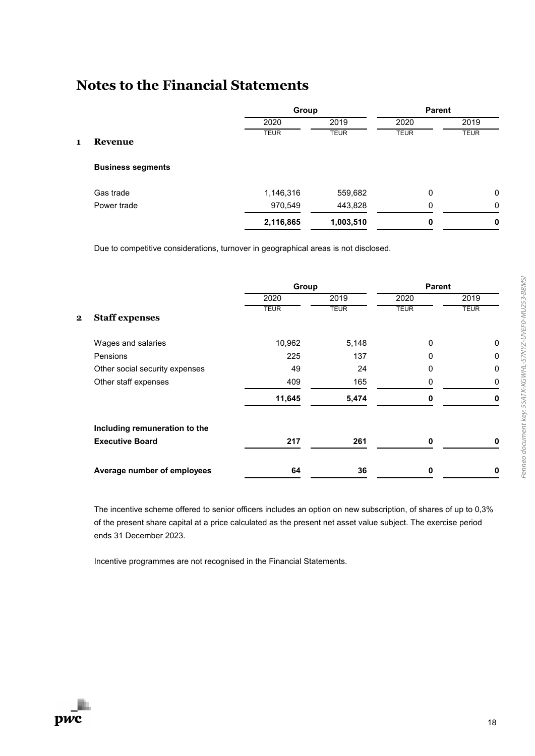|                          | Group       |             | <b>Parent</b> |             |
|--------------------------|-------------|-------------|---------------|-------------|
|                          | 2020        | 2019        | 2020          | 2019        |
| <b>Revenue</b><br>1      | <b>TEUR</b> | <b>TEUR</b> | <b>TEUR</b>   | <b>TEUR</b> |
| <b>Business segments</b> |             |             |               |             |
| Gas trade                | 1,146,316   | 559,682     | 0             | 0           |
| Power trade              | 970,549     | 443,828     | 0             | 0           |
|                          | 2,116,865   | 1,003,510   | 0             | 0           |

Due to competitive considerations, turnover in geographical areas is not disclosed.

|              |                                | Group       |             | <b>Parent</b> |             |
|--------------|--------------------------------|-------------|-------------|---------------|-------------|
|              |                                | 2020        | 2019        | 2020          | 2019        |
|              |                                | <b>TEUR</b> | <b>TEUR</b> | <b>TEUR</b>   | <b>TEUR</b> |
| $\mathbf{2}$ | <b>Staff expenses</b>          |             |             |               |             |
|              | Wages and salaries             | 10,962      | 5,148       | 0             | $\Omega$    |
|              | Pensions                       | 225         | 137         | 0             | 0           |
|              | Other social security expenses | 49          | 24          | 0             | 0           |
|              | Other staff expenses           | 409         | 165         | 0             | 0           |
|              |                                | 11,645      | 5,474       | 0             | $\mathbf 0$ |
|              | Including remuneration to the  |             |             |               |             |
|              | <b>Executive Board</b>         | 217         | 261         | 0             | 0           |
|              | Average number of employees    | 64          | 36          | 0             | 0           |
|              |                                |             |             |               |             |

The incentive scheme offered to senior officers includes an option on new subscription, of shares of up to 0,3% of the present share capital at a price calculated as the present net asset value subject. The exercise period ends 31 December 2023.

Incentive programmes are not recognised in the Financial Statements.

pwc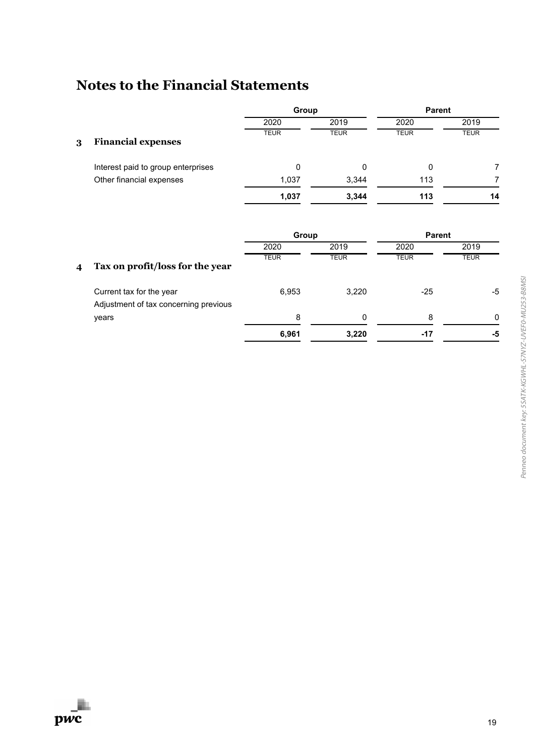|   |                                    | Group       |             | <b>Parent</b> |             |
|---|------------------------------------|-------------|-------------|---------------|-------------|
|   |                                    | 2020        | 2019        | 2020          | 2019        |
| 3 | <b>Financial expenses</b>          | <b>TEUR</b> | <b>TEUR</b> | <b>TEUR</b>   | <b>TEUR</b> |
|   | Interest paid to group enterprises | 0           | 0           | 0             |             |
|   | Other financial expenses           | 1,037       | 3.344       | 113           | 7           |
|   |                                    | 1,037       | 3.344       | 113           | 14          |

|   |                                                                   | Group       |             | <b>Parent</b> |              |
|---|-------------------------------------------------------------------|-------------|-------------|---------------|--------------|
|   |                                                                   | 2020        | 2019        | 2020          | 2019         |
| 4 | Tax on profit/loss for the year                                   | <b>TEUR</b> | TEUR        | <b>TEUR</b>   | <b>TEUR</b>  |
|   | Current tax for the year<br>Adjustment of tax concerning previous | 6,953       | 3.220       | -25           | -5           |
|   | years                                                             | 8           | $\mathbf 0$ | 8             | $\mathbf{0}$ |
|   |                                                                   | 6,961       | 3,220       | -17           | -5           |

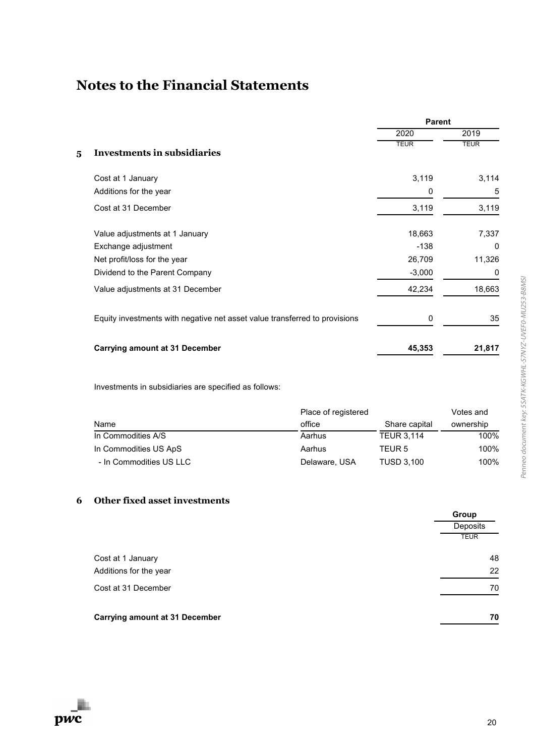| 2020<br><b>TEUR</b><br>3,119<br>0 | 2019<br><b>TEUR</b><br>3,114<br>5 |
|-----------------------------------|-----------------------------------|
|                                   |                                   |
|                                   |                                   |
|                                   |                                   |
|                                   |                                   |
| 3,119                             | 3,119                             |
| 18,663                            | 7,337                             |
| $-138$                            | $\Omega$                          |
| 26,709                            | 11,326                            |
| $-3,000$                          | 0                                 |
| 42,234                            | 18,663                            |
| 0                                 | 35                                |
| 45,353                            | 21,817                            |
|                                   |                                   |

Investments in subsidiaries are specified as follows:

|                         | Place of registered |                   | Votes and |
|-------------------------|---------------------|-------------------|-----------|
| Name                    | office              | Share capital     | ownership |
| In Commodities A/S      | Aarhus              | <b>TEUR 3,114</b> | 100%      |
| In Commodities US ApS   | Aarhus              | TEUR 5            | 100%      |
| - In Commodities US LLC | Delaware, USA       | <b>TUSD 3.100</b> | 100%      |

#### **6 Other fixed asset investments**

|                                       | Group           |
|---------------------------------------|-----------------|
|                                       | <b>Deposits</b> |
|                                       | <b>TEUR</b>     |
| Cost at 1 January                     | 48              |
| Additions for the year                | 22              |
| Cost at 31 December                   | 70              |
| <b>Carrying amount at 31 December</b> | 70              |

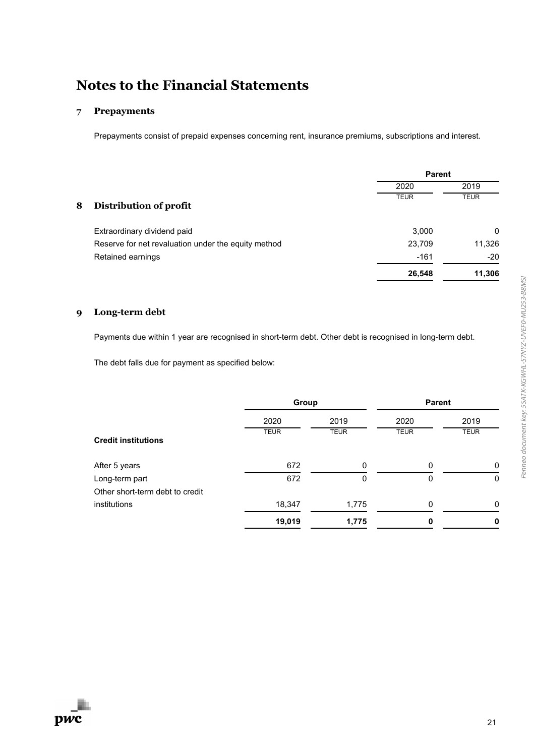#### **7 Prepayments**

Prepayments consist of prepaid expenses concerning rent, insurance premiums, subscriptions and interest.

|   |                                                     | <b>Parent</b> |             |
|---|-----------------------------------------------------|---------------|-------------|
|   |                                                     | 2020          | 2019        |
| 8 | Distribution of profit                              | <b>TEUR</b>   | <b>TEUR</b> |
|   | Extraordinary dividend paid                         | 3,000         | $\Omega$    |
|   | Reserve for net revaluation under the equity method | 23,709        | 11,326      |
|   | Retained earnings                                   | $-161$        | $-20$       |
|   |                                                     | 26,548        | 11,306      |

#### **9 Long-term debt**

Payments due within 1 year are recognised in short-term debt. Other debt is recognised in long-term debt.

The debt falls due for payment as specified below:

|                                 | Group       |             | <b>Parent</b> |             |
|---------------------------------|-------------|-------------|---------------|-------------|
|                                 | 2020        | 2019        | 2020          | 2019        |
| <b>Credit institutions</b>      | <b>TEUR</b> | <b>TEUR</b> | <b>TEUR</b>   | <b>TEUR</b> |
| After 5 years                   | 672         | 0           | 0             | $\Omega$    |
| Long-term part                  | 672         | 0           | 0             | 0           |
| Other short-term debt to credit |             |             |               |             |
| institutions                    | 18,347      | 1,775       | $\Omega$      | 0           |
|                                 | 19,019      | 1,775       | 0             | 0           |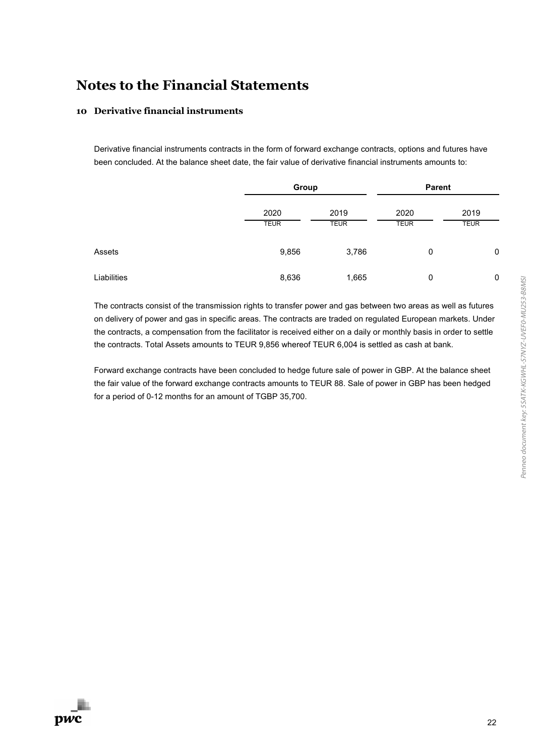#### **10 Derivative financial instruments**

Derivative financial instruments contracts in the form of forward exchange contracts, options and futures have been concluded. At the balance sheet date, the fair value of derivative financial instruments amounts to:

|             |                     | Group               |                     | Parent              |  |
|-------------|---------------------|---------------------|---------------------|---------------------|--|
|             | 2020<br><b>TEUR</b> | 2019<br><b>TEUR</b> | 2020<br><b>TEUR</b> | 2019<br><b>TEUR</b> |  |
| Assets      | 9,856               | 3,786               | 0                   | C                   |  |
| Liabilities | 8,636               | 1,665               | 0                   | C                   |  |

The contracts consist of the transmission rights to transfer power and gas between two areas as well as futures on delivery of power and gas in specific areas. The contracts are traded on regulated European markets. Under the contracts, a compensation from the facilitator is received either on a daily or monthly basis in order to settle the contracts. Total Assets amounts to TEUR 9,856 whereof TEUR 6,004 is settled as cash at bank.

Forward exchange contracts have been concluded to hedge future sale of power in GBP. At the balance sheet the fair value of the forward exchange contracts amounts to TEUR 88. Sale of power in GBP has been hedged for a period of 0-12 months for an amount of TGBP 35,700.

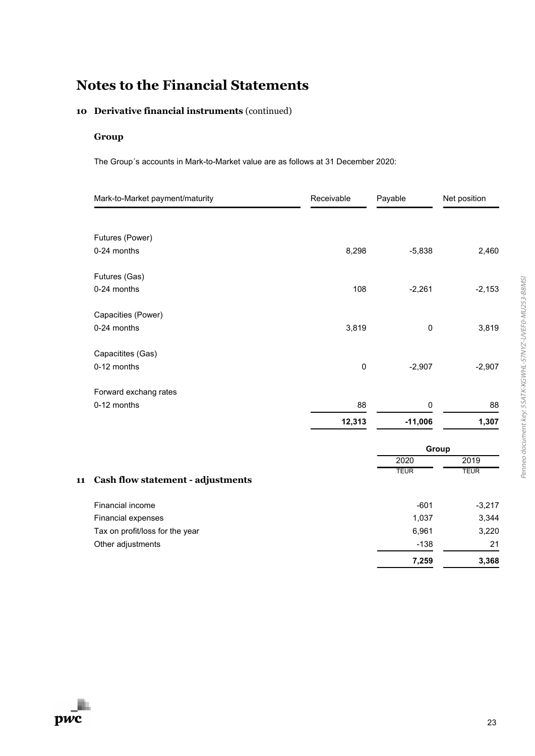### **10 Derivative financial instruments** (continued)

#### **Group**

The Group´s accounts in Mark-to-Market value are as follows at 31 December 2020:

| Mark-to-Market payment/maturity          | Receivable | Payable     | Net position |
|------------------------------------------|------------|-------------|--------------|
| Futures (Power)                          |            |             |              |
| 0-24 months                              | 8,298      | $-5,838$    | 2,460        |
| Futures (Gas)                            |            |             |              |
| 0-24 months                              | 108        | $-2,261$    | $-2,153$     |
| Capacities (Power)                       |            |             |              |
| 0-24 months                              | 3,819      | $\pmb{0}$   | 3,819        |
| Capacitites (Gas)                        |            |             |              |
| 0-12 months                              | $\pmb{0}$  | $-2,907$    | $-2,907$     |
| Forward exchang rates                    |            |             |              |
| 0-12 months                              | 88         | 0           | 88           |
|                                          | 12,313     | $-11,006$   | 1,307        |
|                                          |            |             | Group        |
|                                          |            | 2020        | 2019         |
| <b>Cash flow statement - adjustments</b> |            | <b>TEUR</b> | <b>TEUR</b>  |
| Financial income                         |            | $-601$      | $-3,217$     |
| Financial expenses                       |            | 1,037       | 3,344        |
| Tax on profit/loss for the year          |            | 6,961       | 3,220        |
| Other adjustments                        |            | $-138$      | 21           |

**7,259 3,368**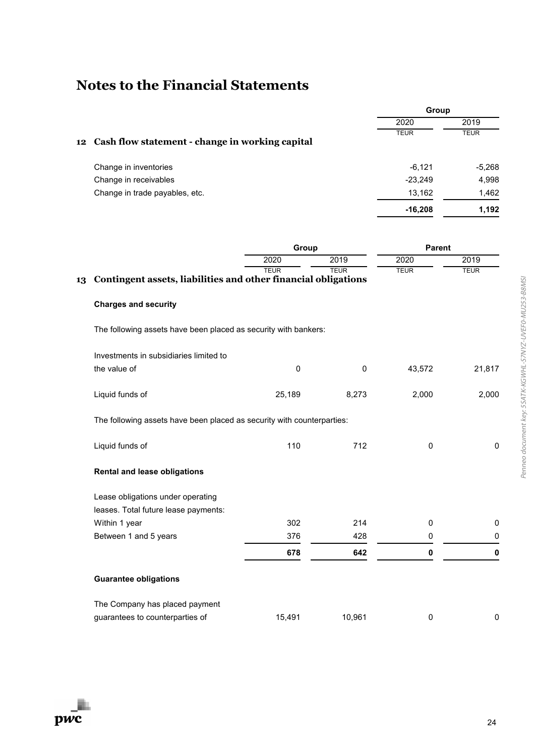|                                                    | Group       |             |
|----------------------------------------------------|-------------|-------------|
|                                                    | 2020        | 2019        |
| 12 Cash flow statement - change in working capital | <b>TEUR</b> | <b>TEUR</b> |
| Change in inventories                              | $-6.121$    | $-5.268$    |
| Change in receivables                              | $-23,249$   | 4,998       |
| Change in trade payables, etc.                     | 13,162      | 1,462       |
|                                                    | $-16.208$   | 1.192       |

|                                                                        |             | Group       |             | <b>Parent</b> |
|------------------------------------------------------------------------|-------------|-------------|-------------|---------------|
|                                                                        | 2020        | 2019        | 2020        | 2019          |
| Contingent assets, liabilities and other financial obligations<br>13   | <b>TEUR</b> | <b>TEUR</b> | <b>TEUR</b> | <b>TEUR</b>   |
| <b>Charges and security</b>                                            |             |             |             |               |
| The following assets have been placed as security with bankers:        |             |             |             |               |
| Investments in subsidiaries limited to                                 |             |             |             |               |
| the value of                                                           | 0           | $\mathbf 0$ | 43,572      | 21,817        |
| Liquid funds of                                                        | 25,189      | 8,273       | 2,000       | 2,000         |
| The following assets have been placed as security with counterparties: |             |             |             |               |
| Liquid funds of                                                        | 110         | 712         | 0           | $\mathbf 0$   |
| <b>Rental and lease obligations</b>                                    |             |             |             |               |
| Lease obligations under operating                                      |             |             |             |               |
| leases. Total future lease payments:                                   |             |             |             |               |
| Within 1 year                                                          | 302         | 214         | 0           | 0             |
| Between 1 and 5 years                                                  | 376         | 428         | 0           | 0             |
|                                                                        | 678         | 642         | 0           | 0             |
| <b>Guarantee obligations</b>                                           |             |             |             |               |
| The Company has placed payment                                         |             |             |             |               |
| guarantees to counterparties of                                        | 15,491      | 10,961      | 0           | $\mathbf 0$   |

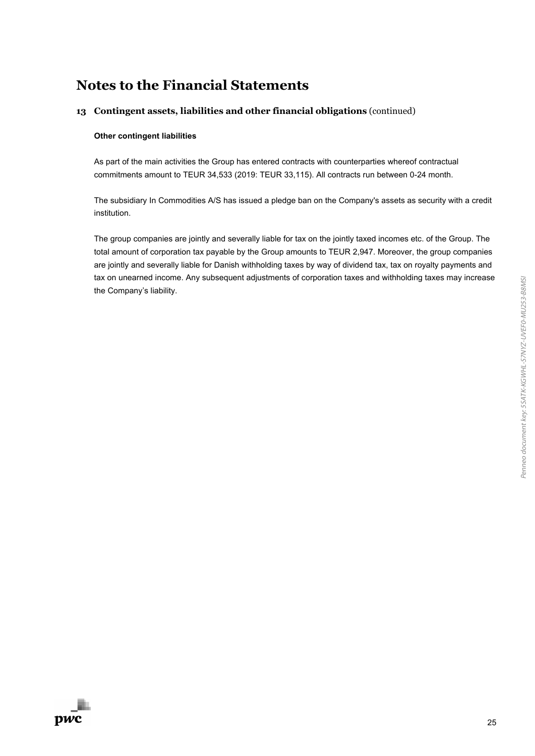### **13 Contingent assets, liabilities and other financial obligations** (continued)

#### **Other contingent liabilities**

As part of the main activities the Group has entered contracts with counterparties whereof contractual commitments amount to TEUR 34,533 (2019: TEUR 33,115). All contracts run between 0-24 month.

The subsidiary In Commodities A/S has issued a pledge ban on the Company's assets as security with a credit institution.

The group companies are jointly and severally liable for tax on the jointly taxed incomes etc. of the Group. The total amount of corporation tax payable by the Group amounts to TEUR 2,947. Moreover, the group companies are jointly and severally liable for Danish withholding taxes by way of dividend tax, tax on royalty payments and tax on unearned income. Any subsequent adjustments of corporation taxes and withholding taxes may increase the Company's liability.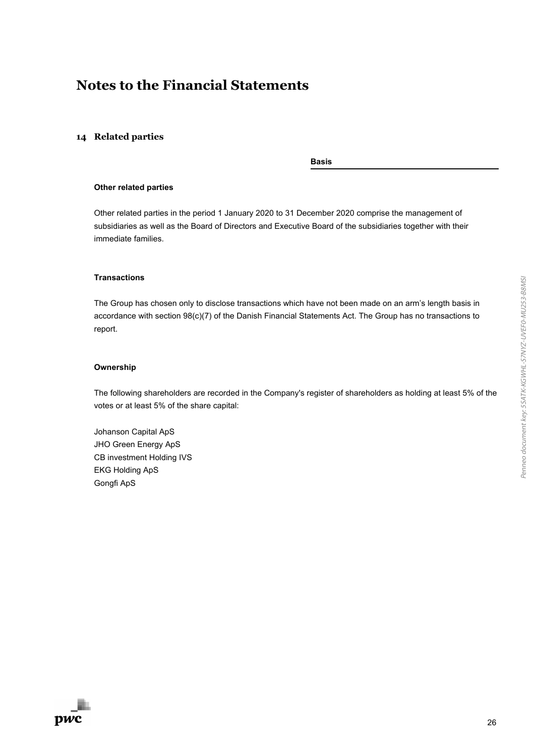#### **14 Related parties**

**Basis**

#### **Other related parties**

Other related parties in the period 1 January 2020 to 31 December 2020 comprise the management of subsidiaries as well as the Board of Directors and Executive Board of the subsidiaries together with their immediate families.

#### **Transactions**

The Group has chosen only to disclose transactions which have not been made on an arm's length basis in accordance with section 98(c)(7) of the Danish Financial Statements Act. The Group has no transactions to report.

#### **Ownership**

The following shareholders are recorded in the Company's register of shareholders as holding at least 5% of the votes or at least 5% of the share capital:

Johanson Capital ApS JHO Green Energy ApS CB investment Holding IVS EKG Holding ApS Gongfi ApS

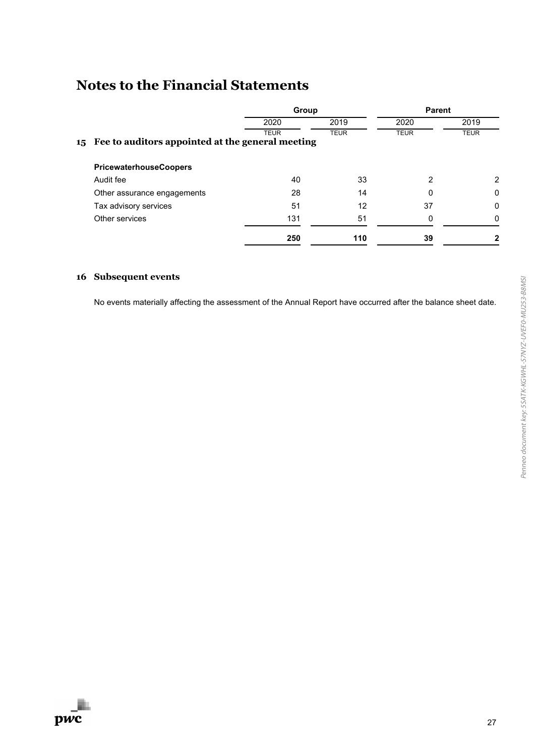|    |                                                  | Group       |             | <b>Parent</b> |                |
|----|--------------------------------------------------|-------------|-------------|---------------|----------------|
|    |                                                  | 2020        | 2019        | 2020          | 2019           |
|    |                                                  | <b>TEUR</b> | <b>TEUR</b> | <b>TEUR</b>   | <b>TEUR</b>    |
| 15 | Fee to auditors appointed at the general meeting |             |             |               |                |
|    | <b>PricewaterhouseCoopers</b>                    |             |             |               |                |
|    | Audit fee                                        | 40          | 33          | 2             | $\overline{2}$ |
|    | Other assurance engagements                      | 28          | 14          | 0             | 0              |
|    | Tax advisory services                            | 51          | 12          | 37            | 0              |
|    | Other services                                   | 131         | 51          | 0             | 0              |
|    |                                                  | 250         | 110         | 39            |                |

### **16 Subsequent events**

No events materially affecting the assessment of the Annual Report have occurred after the balance sheet date.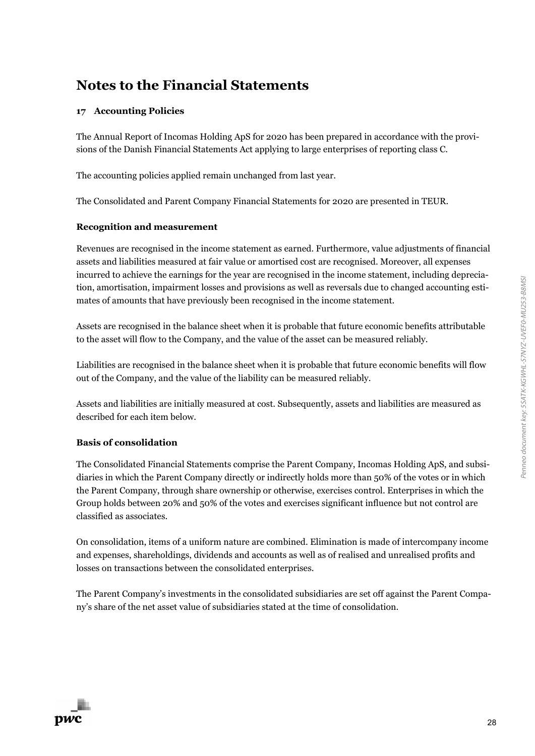### **17 Accounting Policies**

The Annual Report of Incomas Holding ApS for 2020 has been prepared in accordance with the provisions of the Danish Financial Statements Act applying to large enterprises of reporting class C.

The accounting policies applied remain unchanged from last year.

The Consolidated and Parent Company Financial Statements for 2020 are presented in TEUR.

### **Recognition and measurement**

Revenues are recognised in the income statement as earned. Furthermore, value adjustments of financial assets and liabilities measured at fair value or amortised cost are recognised. Moreover, all expenses incurred to achieve the earnings for the year are recognised in the income statement, including depreciation, amortisation, impairment losses and provisions as well as reversals due to changed accounting estimates of amounts that have previously been recognised in the income statement.

Assets are recognised in the balance sheet when it is probable that future economic benefits attributable to the asset will flow to the Company, and the value of the asset can be measured reliably.

Liabilities are recognised in the balance sheet when it is probable that future economic benefits will flow out of the Company, and the value of the liability can be measured reliably.

Assets and liabilities are initially measured at cost. Subsequently, assets and liabilities are measured as described for each item below.

### **Basis of consolidation**

The Consolidated Financial Statements comprise the Parent Company, Incomas Holding ApS, and subsidiaries in which the Parent Company directly or indirectly holds more than 50% of the votes or in which the Parent Company, through share ownership or otherwise, exercises control. Enterprises in which the Group holds between 20% and 50% of the votes and exercises significant influence but not control are classified as associates.

On consolidation, items of a uniform nature are combined. Elimination is made of intercompany income and expenses, shareholdings, dividends and accounts as well as of realised and unrealised profits and losses on transactions between the consolidated enterprises.

The Parent Company's investments in the consolidated subsidiaries are set off against the Parent Company's share of the net asset value of subsidiaries stated at the time of consolidation.

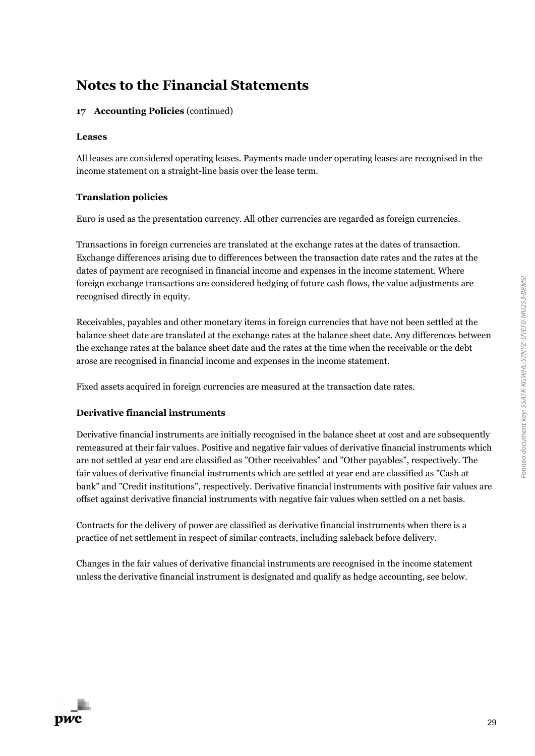#### **17 Accounting Policies** (continued)

#### **Leases**

All leases are considered operating leases. Payments made under operating leases are recognised in the income statement on a straight-line basis over the lease term.

#### **Translation policies**

Euro is used as the presentation currency. All other currencies are regarded as foreign currencies.

Transactions in foreign currencies are translated at the exchange rates at the dates of transaction. Exchange differences arising due to differences between the transaction date rates and the rates at the dates of payment are recognised in financial income and expenses in the income statement. Where foreign exchange transactions are considered hedging of future cash flows, the value adjustments are recognised directly in equity.

Receivables, payables and other monetary items in foreign currencies that have not been settled at the balance sheet date are translated at the exchange rates at the balance sheet date. Any differences between the exchange rates at the balance sheet date and the rates at the time when the receivable or the debt arose are recognised in financial income and expenses in the income statement.

Fixed assets acquired in foreign currencies are measured at the transaction date rates.

#### **Derivative financial instruments**

Derivative financial instruments are initially recognised in the balance sheet at cost and are subsequently remeasured at their fair values. Positive and negative fair values of derivative financial instruments which are not settled at year end are classified as "Other receivables" and "Other payables", respectively. The fair values of derivative financial instruments which are settled at year end are classified as "Cash at bank" and "Credit institutions", respectively. Derivative financial instruments with positive fair values are offset against derivative financial instruments with negative fair values when settled on a net basis.

Contracts for the delivery of power are classified as derivative financial instruments when there is a practice of net settlement in respect of similar contracts, including saleback before delivery.

Changes in the fair values of derivative financial instruments are recognised in the income statement unless the derivative financial instrument is designated and qualify as hedge accounting, see below.

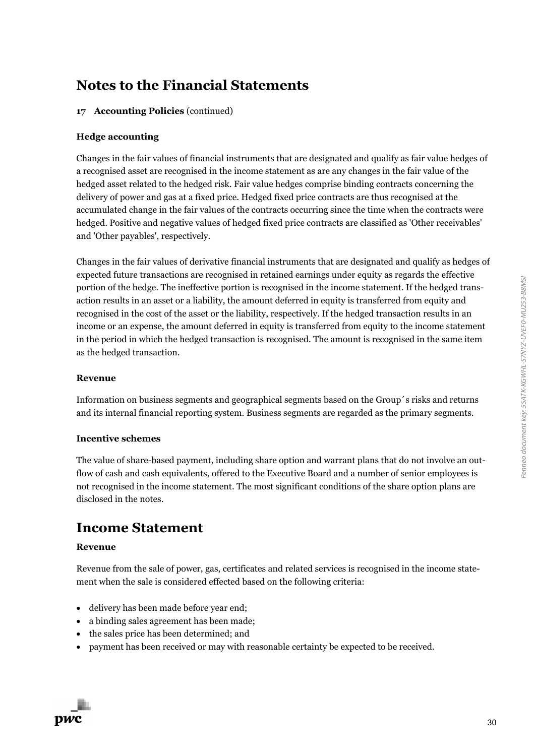### **17 Accounting Policies** (continued)

### **Hedge accounting**

Changes in the fair values of financial instruments that are designated and qualify as fair value hedges of a recognised asset are recognised in the income statement as are any changes in the fair value of the hedged asset related to the hedged risk. Fair value hedges comprise binding contracts concerning the delivery of power and gas at a fixed price. Hedged fixed price contracts are thus recognised at the accumulated change in the fair values of the contracts occurring since the time when the contracts were hedged. Positive and negative values of hedged fixed price contracts are classified as 'Other receivables' and 'Other payables', respectively.

Changes in the fair values of derivative financial instruments that are designated and qualify as hedges of expected future transactions are recognised in retained earnings under equity as regards the effective portion of the hedge. The ineffective portion is recognised in the income statement. If the hedged transaction results in an asset or a liability, the amount deferred in equity is transferred from equity and recognised in the cost of the asset or the liability, respectively. If the hedged transaction results in an income or an expense, the amount deferred in equity is transferred from equity to the income statement in the period in which the hedged transaction is recognised. The amount is recognised in the same item as the hedged transaction.

#### **Revenue**

Information on business segments and geographical segments based on the Group´s risks and returns and its internal financial reporting system. Business segments are regarded as the primary segments.

### **Incentive schemes**

The value of share-based payment, including share option and warrant plans that do not involve an outflow of cash and cash equivalents, offered to the Executive Board and a number of senior employees is not recognised in the income statement. The most significant conditions of the share option plans are disclosed in the notes.

### **Income Statement**

### **Revenue**

Revenue from the sale of power, gas, certificates and related services is recognised in the income statement when the sale is considered effected based on the following criteria:

- delivery has been made before year end;
- a binding sales agreement has been made;
- the sales price has been determined; and
- payment has been received or may with reasonable certainty be expected to be received.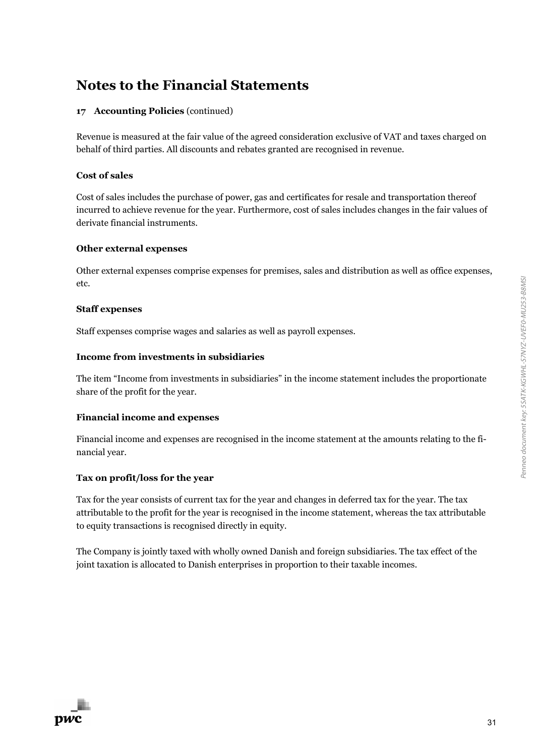### **17 Accounting Policies** (continued)

Revenue is measured at the fair value of the agreed consideration exclusive of VAT and taxes charged on behalf of third parties. All discounts and rebates granted are recognised in revenue.

### **Cost of sales**

Cost of sales includes the purchase of power, gas and certificates for resale and transportation thereof incurred to achieve revenue for the year. Furthermore, cost of sales includes changes in the fair values of derivate financial instruments.

### **Other external expenses**

Other external expenses comprise expenses for premises, sales and distribution as well as office expenses, etc.

#### **Staff expenses**

Staff expenses comprise wages and salaries as well as payroll expenses.

#### **Income from investments in subsidiaries**

The item "Income from investments in subsidiaries" in the income statement includes the proportionate share of the profit for the year.

### **Financial income and expenses**

Financial income and expenses are recognised in the income statement at the amounts relating to the financial year.

#### **Tax on profit/loss for the year**

Tax for the year consists of current tax for the year and changes in deferred tax for the year. The tax attributable to the profit for the year is recognised in the income statement, whereas the tax attributable to equity transactions is recognised directly in equity.

The Company is jointly taxed with wholly owned Danish and foreign subsidiaries. The tax effect of the joint taxation is allocated to Danish enterprises in proportion to their taxable incomes.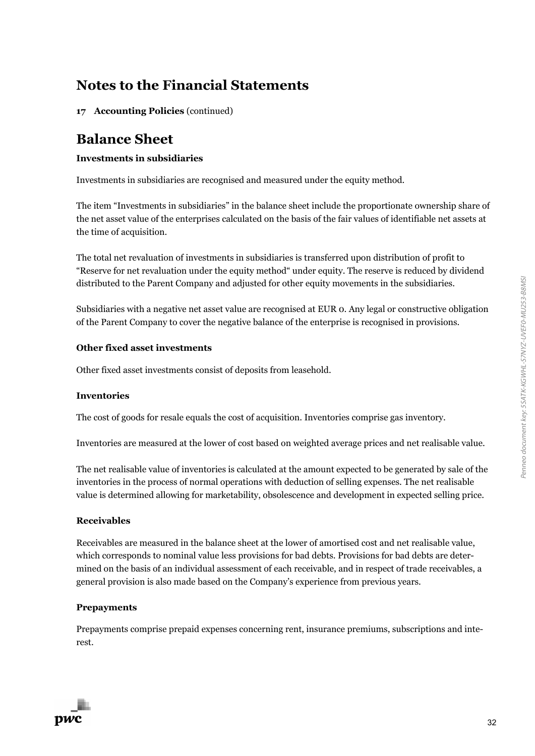**17 Accounting Policies** (continued)

### **Balance Sheet**

### **Investments in subsidiaries**

Investments in subsidiaries are recognised and measured under the equity method.

The item "Investments in subsidiaries" in the balance sheet include the proportionate ownership share of the net asset value of the enterprises calculated on the basis of the fair values of identifiable net assets at the time of acquisition.

The total net revaluation of investments in subsidiaries is transferred upon distribution of profit to "Reserve for net revaluation under the equity method" under equity. The reserve is reduced by dividend distributed to the Parent Company and adjusted for other equity movements in the subsidiaries.

Subsidiaries with a negative net asset value are recognised at EUR 0. Any legal or constructive obligation of the Parent Company to cover the negative balance of the enterprise is recognised in provisions.

#### **Other fixed asset investments**

Other fixed asset investments consist of deposits from leasehold.

#### **Inventories**

The cost of goods for resale equals the cost of acquisition. Inventories comprise gas inventory.

Inventories are measured at the lower of cost based on weighted average prices and net realisable value.

The net realisable value of inventories is calculated at the amount expected to be generated by sale of the inventories in the process of normal operations with deduction of selling expenses. The net realisable value is determined allowing for marketability, obsolescence and development in expected selling price.

### **Receivables**

Receivables are measured in the balance sheet at the lower of amortised cost and net realisable value, which corresponds to nominal value less provisions for bad debts. Provisions for bad debts are determined on the basis of an individual assessment of each receivable, and in respect of trade receivables, a general provision is also made based on the Company's experience from previous years.

### **Prepayments**

Prepayments comprise prepaid expenses concerning rent, insurance premiums, subscriptions and interest.

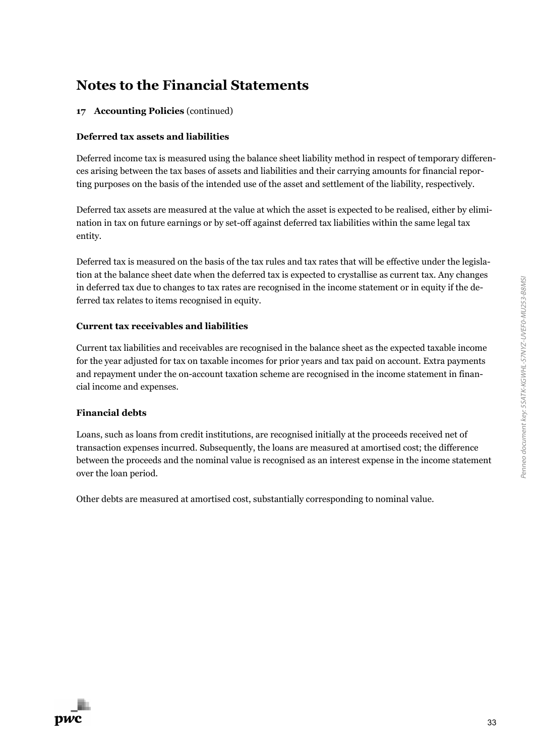### **17 Accounting Policies** (continued)

#### **Deferred tax assets and liabilities**

Deferred income tax is measured using the balance sheet liability method in respect of temporary differences arising between the tax bases of assets and liabilities and their carrying amounts for financial reporting purposes on the basis of the intended use of the asset and settlement of the liability, respectively.

Deferred tax assets are measured at the value at which the asset is expected to be realised, either by elimination in tax on future earnings or by set-off against deferred tax liabilities within the same legal tax entity.

Deferred tax is measured on the basis of the tax rules and tax rates that will be effective under the legislation at the balance sheet date when the deferred tax is expected to crystallise as current tax. Any changes in deferred tax due to changes to tax rates are recognised in the income statement or in equity if the deferred tax relates to items recognised in equity.

#### **Current tax receivables and liabilities**

Current tax liabilities and receivables are recognised in the balance sheet as the expected taxable income for the year adjusted for tax on taxable incomes for prior years and tax paid on account. Extra payments and repayment under the on-account taxation scheme are recognised in the income statement in financial income and expenses.

### **Financial debts**

Loans, such as loans from credit institutions, are recognised initially at the proceeds received net of transaction expenses incurred. Subsequently, the loans are measured at amortised cost; the difference between the proceeds and the nominal value is recognised as an interest expense in the income statement over the loan period.

Other debts are measured at amortised cost, substantially corresponding to nominal value.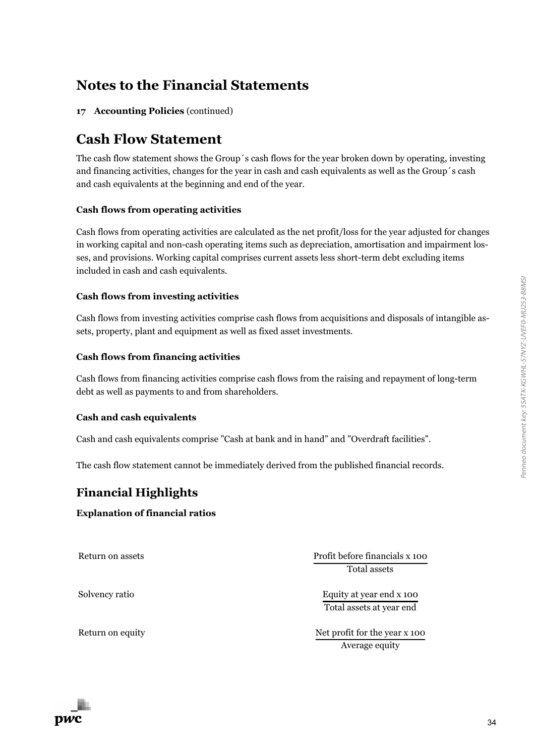34

### **Notes to the Financial Statements**

**17 Accounting Policies** (continued)

### **Cash Flow Statement**

The cash flow statement shows the Group´s cash flows for the year broken down by operating, investing and financing activities, changes for the year in cash and cash equivalents as well as the Group´s cash and cash equivalents at the beginning and end of the year.

#### **Cash flows from operating activities**

Cash flows from operating activities are calculated as the net profit/loss for the year adjusted for changes in working capital and non-cash operating items such as depreciation, amortisation and impairment losses, and provisions. Working capital comprises current assets less short-term debt excluding items included in cash and cash equivalents.

#### **Cash flows from investing activities**

Cash flows from investing activities comprise cash flows from acquisitions and disposals of intangible assets, property, plant and equipment as well as fixed asset investments.

#### **Cash flows from financing activities**

Cash flows from financing activities comprise cash flows from the raising and repayment of long-term debt as well as payments to and from shareholders.

#### **Cash and cash equivalents**

Cash and cash equivalents comprise "Cash at bank and in hand" and "Overdraft facilities".

The cash flow statement cannot be immediately derived from the published financial records.

### **Financial Highlights**

#### **Explanation of financial ratios**

Return on assets **Profit before financials x 100** Total assets

Solvency ratio **Equity at year end x 100** Total assets at year end

Return on equity Net profit for the year x 100 Average equity

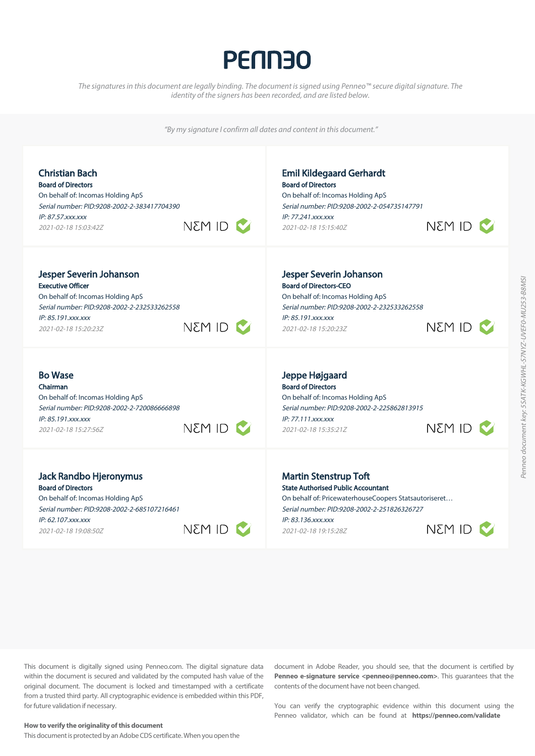# **PENNEO**

The signatures in this document are legally binding. The document is signed using Penneo™ secure digital signature. The identity of the signers has been recorded, and are listed below.

"By my signature I confirm all dates and content in this document."



This document is digitally signed using Penneo.com. The digital signature data within the document is secured and validated by the computed hash value of the original document. The document is locked and timestamped with a certificate from a trusted third party. All cryptographic evidence is embedded within this PD F, for future validation if necessary.

#### **How to verify the originality of this document**

This document is protected by an Adobe CDS certificate. When you open the

document in Adobe Reader, you should see, that the document is certified by Penneo e-signature service <penneo@penneo.com>. This guarantees that the contents of the document have not been changed.

You can verify the cryptographic evidence within this document using the Penneo validator, which can be found at https://penneo.com/validate